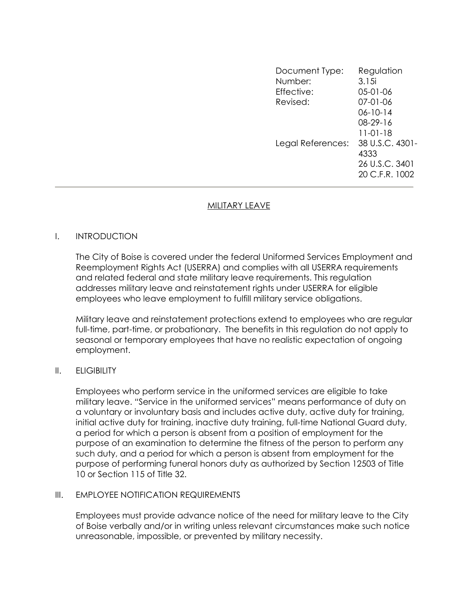Document Type: Regulation Number: 3.15i Effective: 05-01-06 Revised: 07-01-06 06-10-14 08-29-16 11-01-18 Legal References: 38 U.S.C. 4301- 4333 26 U.S.C. 3401 20 C.F.R. 1002

# MILITARY LEAVE

## I. INTRODUCTION

The City of Boise is covered under the federal Uniformed Services Employment and Reemployment Rights Act (USERRA) and complies with all USERRA requirements and related federal and state military leave requirements. This regulation addresses military leave and reinstatement rights under USERRA for eligible employees who leave employment to fulfill military service obligations.

Military leave and reinstatement protections extend to employees who are regular full-time, part-time, or probationary. The benefits in this regulation do not apply to seasonal or temporary employees that have no realistic expectation of ongoing employment.

## II. ELIGIBILITY

Employees who perform service in the uniformed services are eligible to take military leave. "Service in the uniformed services" means performance of duty on a voluntary or involuntary basis and includes active duty, active duty for training, initial active duty for training, inactive duty training, full-time National Guard duty, a period for which a person is absent from a position of employment for the purpose of an examination to determine the fitness of the person to perform any such duty, and a period for which a person is absent from employment for the purpose of performing funeral honors duty as authorized by Section 12503 of Title 10 or Section 115 of Title 32.

## III. EMPLOYEE NOTIFICATION REQUIREMENTS

Employees must provide advance notice of the need for military leave to the City of Boise verbally and/or in writing unless relevant circumstances make such notice unreasonable, impossible, or prevented by military necessity.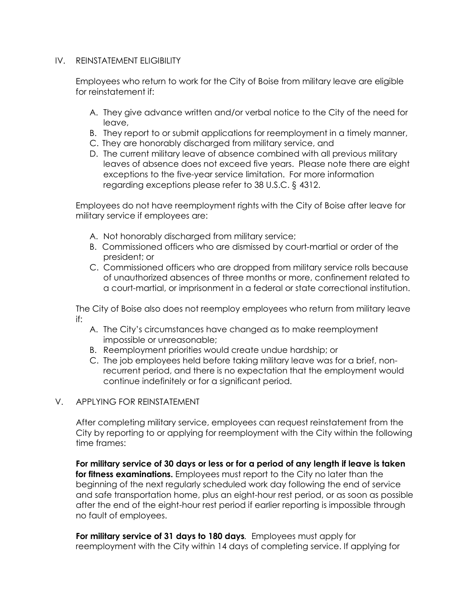## IV. REINSTATEMENT ELIGIBILITY

Employees who return to work for the City of Boise from military leave are eligible for reinstatement if:

- A. They give advance written and/or verbal notice to the City of the need for leave,
- B. They report to or submit applications for reemployment in a timely manner,
- C. They are honorably discharged from military service, and
- D. The current military leave of absence combined with all previous military leaves of absence does not exceed five years. Please note there are eight exceptions to the five-year service limitation. For more information regarding exceptions please refer to 38 U.S.C. § 4312.

Employees do not have reemployment rights with the City of Boise after leave for military service if employees are:

- A. Not honorably discharged from military service;
- B. Commissioned officers who are dismissed by court-martial or order of the president; or
- C. Commissioned officers who are dropped from military service rolls because of unauthorized absences of three months or more, confinement related to a court-martial, or imprisonment in a federal or state correctional institution.

The City of Boise also does not reemploy employees who return from military leave if:

- A. The City's circumstances have changed as to make reemployment impossible or unreasonable;
- B. Reemployment priorities would create undue hardship; or
- C. The job employees held before taking military leave was for a brief, nonrecurrent period, and there is no expectation that the employment would continue indefinitely or for a significant period.

## V. APPLYING FOR REINSTATEMENT

 After completing military service, employees can request reinstatement from the City by reporting to or applying for reemployment with the City within the following time frames:

For military service of 30 days or less or for a period of any length if leave is taken for fitness examinations. Employees must report to the City no later than the beginning of the next regularly scheduled work day following the end of service and safe transportation home, plus an eight-hour rest period, or as soon as possible after the end of the eight-hour rest period if earlier reporting is impossible through no fault of employees.

For military service of 31 days to 180 days. Employees must apply for reemployment with the City within 14 days of completing service. If applying for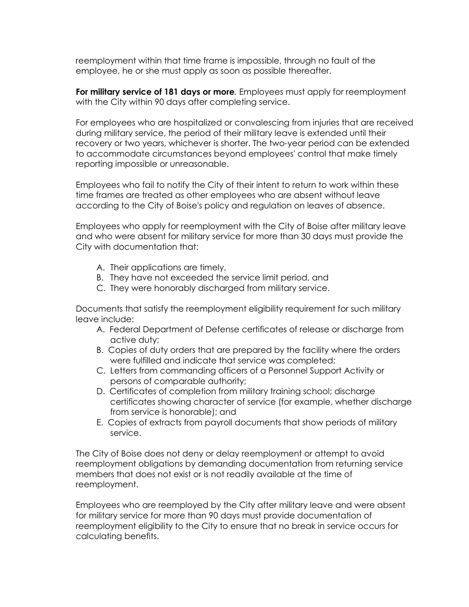reemployment within that time frame is impossible, through no fault of the employee, he or she must apply as soon as possible thereafter.

For military service of 181 days or more. Employees must apply for reemployment with the City within 90 days after completing service.

 For employees who are hospitalized or convalescing from injuries that are received during military service, the period of their military leave is extended until their recovery or two years, whichever is shorter. The two-year period can be extended to accommodate circumstances beyond employees' control that make timely reporting impossible or unreasonable.

 Employees who fail to notify the City of their intent to return to work within these time frames are treated as other employees who are absent without leave according to the City of Boise's policy and regulation on leaves of absence.

 Employees who apply for reemployment with the City of Boise after military leave and who were absent for military service for more than 30 days must provide the City with documentation that:

- A. Their applications are timely,
- B. They have not exceeded the service limit period, and
- C. They were honorably discharged from military service.

 Documents that satisfy the reemployment eligibility requirement for such military leave include:

- A. Federal Department of Defense certificates of release or discharge from active duty;
- B. Copies of duty orders that are prepared by the facility where the orders were fulfilled and indicate that service was completed;
- C. Letters from commanding officers of a Personnel Support Activity or persons of comparable authority;
- D. Certificates of completion from military training school; discharge certificates showing character of service (for example, whether discharge from service is honorable); and
- E. Copies of extracts from payroll documents that show periods of military service.

 The City of Boise does not deny or delay reemployment or attempt to avoid reemployment obligations by demanding documentation from returning service members that does not exist or is not readily available at the time of reemployment.

 Employees who are reemployed by the City after military leave and were absent for military service for more than 90 days must provide documentation of reemployment eligibility to the City to ensure that no break in service occurs for calculating benefits.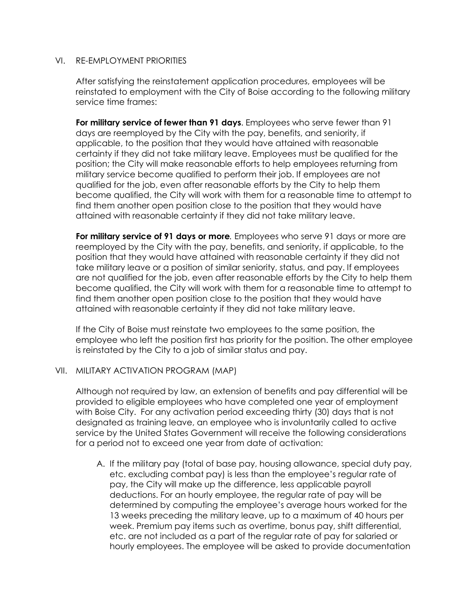## VI. RE-EMPLOYMENT PRIORITIES

 After satisfying the reinstatement application procedures, employees will be reinstated to employment with the City of Boise according to the following military service time frames:

For military service of fewer than 91 days. Employees who serve fewer than 91 days are reemployed by the City with the pay, benefits, and seniority, if applicable, to the position that they would have attained with reasonable certainty if they did not take military leave. Employees must be qualified for the position; the City will make reasonable efforts to help employees returning from military service become qualified to perform their job. If employees are not qualified for the job, even after reasonable efforts by the City to help them become qualified, the City will work with them for a reasonable time to attempt to find them another open position close to the position that they would have attained with reasonable certainty if they did not take military leave.

For military service of 91 days or more. Employees who serve 91 days or more are reemployed by the City with the pay, benefits, and seniority, if applicable, to the position that they would have attained with reasonable certainty if they did not take military leave or a position of similar seniority, status, and pay. If employees are not qualified for the job, even after reasonable efforts by the City to help them become qualified, the City will work with them for a reasonable time to attempt to find them another open position close to the position that they would have attained with reasonable certainty if they did not take military leave.

 If the City of Boise must reinstate two employees to the same position, the employee who left the position first has priority for the position. The other employee is reinstated by the City to a job of similar status and pay.

## VII. MILITARY ACTIVATION PROGRAM (MAP)

Although not required by law, an extension of benefits and pay differential will be provided to eligible employees who have completed one year of employment with Boise City. For any activation period exceeding thirty (30) days that is not designated as training leave, an employee who is involuntarily called to active service by the United States Government will receive the following considerations for a period not to exceed one year from date of activation:

A. If the military pay (total of base pay, housing allowance, special duty pay, etc. excluding combat pay) is less than the employee's regular rate of pay, the City will make up the difference, less applicable payroll deductions. For an hourly employee, the regular rate of pay will be determined by computing the employee's average hours worked for the 13 weeks preceding the military leave, up to a maximum of 40 hours per week. Premium pay items such as overtime, bonus pay, shift differential, etc. are not included as a part of the regular rate of pay for salaried or hourly employees. The employee will be asked to provide documentation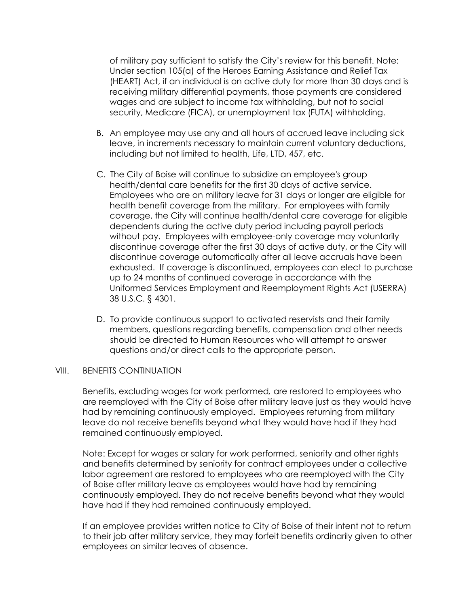of military pay sufficient to satisfy the City's review for this benefit. Note: Under section 105(a) of the Heroes Earning Assistance and Relief Tax (HEART) Act, if an individual is on active duty for more than 30 days and is receiving military differential payments, those payments are considered wages and are subject to income tax withholding, but not to social security, Medicare (FICA), or unemployment tax (FUTA) withholding.

- B. An employee may use any and all hours of accrued leave including sick leave, in increments necessary to maintain current voluntary deductions, including but not limited to health, Life, LTD, 457, etc.
- C. The City of Boise will continue to subsidize an employee's group health/dental care benefits for the first 30 days of active service. Employees who are on military leave for 31 days or longer are eligible for health benefit coverage from the military. For employees with family coverage, the City will continue health/dental care coverage for eligible dependents during the active duty period including payroll periods without pay. Employees with employee-only coverage may voluntarily discontinue coverage after the first 30 days of active duty, or the City will discontinue coverage automatically after all leave accruals have been exhausted. If coverage is discontinued, employees can elect to purchase up to 24 months of continued coverage in accordance with the Uniformed Services Employment and Reemployment Rights Act (USERRA) 38 U.S.C. § 4301.
- D. To provide continuous support to activated reservists and their family members, questions regarding benefits, compensation and other needs should be directed to Human Resources who will attempt to answer questions and/or direct calls to the appropriate person.

#### VIII. BENEFITS CONTINUATION

Benefits, excluding wages for work performed, are restored to employees who are reemployed with the City of Boise after military leave just as they would have had by remaining continuously employed. Employees returning from military leave do not receive benefits beyond what they would have had if they had remained continuously employed.

Note: Except for wages or salary for work performed, seniority and other rights and benefits determined by seniority for contract employees under a collective labor agreement are restored to employees who are reemployed with the City of Boise after military leave as employees would have had by remaining continuously employed. They do not receive benefits beyond what they would have had if they had remained continuously employed.

If an employee provides written notice to City of Boise of their intent not to return to their job after military service, they may forfeit benefits ordinarily given to other employees on similar leaves of absence.